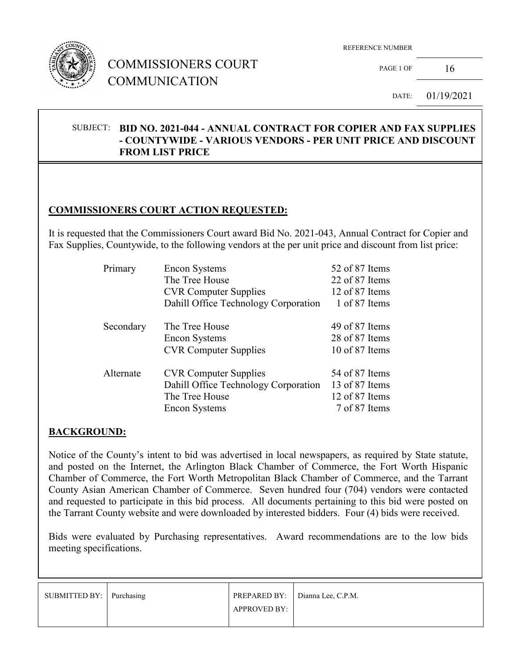

## COMMISSIONERS COURT COMMUNICATION

PAGE 1 OF  $16$ 

DATE: 01/19/2021

#### SUBJECT: **BID NO. 2021-044 - ANNUAL CONTRACT FOR COPIER AND FAX SUPPLIES - COUNTYWIDE - VARIOUS VENDORS - PER UNIT PRICE AND DISCOUNT FROM LIST PRICE**

### **COMMISSIONERS COURT ACTION REQUESTED:**

It is requested that the Commissioners Court award Bid No. 2021-043, Annual Contract for Copier and Fax Supplies, Countywide, to the following vendors at the per unit price and discount from list price:

| Primary   | <b>Encon Systems</b>                 | 52 of 87 Items |
|-----------|--------------------------------------|----------------|
|           | The Tree House                       | 22 of 87 Items |
|           | <b>CVR Computer Supplies</b>         | 12 of 87 Items |
|           | Dahill Office Technology Corporation | 1 of 87 Items  |
| Secondary | The Tree House                       | 49 of 87 Items |
|           | <b>Encon Systems</b>                 | 28 of 87 Items |
|           | <b>CVR Computer Supplies</b>         | 10 of 87 Items |
| Alternate | <b>CVR</b> Computer Supplies         | 54 of 87 Items |
|           | Dahill Office Technology Corporation | 13 of 87 Items |
|           | The Tree House                       | 12 of 87 Items |
|           | <b>Encon Systems</b>                 | 7 of 87 Items  |

#### **BACKGROUND:**

Notice of the County's intent to bid was advertised in local newspapers, as required by State statute, and posted on the Internet, the Arlington Black Chamber of Commerce, the Fort Worth Hispanic Chamber of Commerce, the Fort Worth Metropolitan Black Chamber of Commerce, and the Tarrant County Asian American Chamber of Commerce. Seven hundred four (704) vendors were contacted and requested to participate in this bid process. All documents pertaining to this bid were posted on the Tarrant County website and were downloaded by interested bidders. Four (4) bids were received.

Bids were evaluated by Purchasing representatives. Award recommendations are to the low bids meeting specifications.

| SUBMITTED BY:   Purchasing |                     | <b>PREPARED BY:</b> $\vert$ Dianna Lee, C.P.M. |
|----------------------------|---------------------|------------------------------------------------|
|                            | <b>APPROVED BY:</b> |                                                |